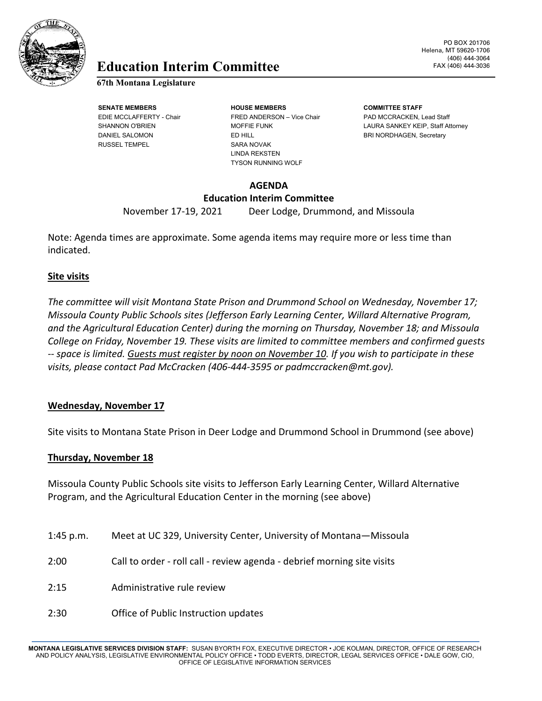

# **Education** FAX (406) 444-3036 **Interim Committee**

## **67th Montana Legislature**

RUSSEL TEMPEL SARA NOVAK

**SENATE MEMBERS HOUSE MEMBERS COMMITTEE STAFF** EDIE MCCLAFFERTY - Chair FRED ANDERSON – Vice Chair FAD MCCRACKEN, Lead Staff DANIEL SALOMON **ED HILL BRI NORDHAGEN, Secretary ED HILL** BRI NORDHAGEN, Secretary LINDA REKSTEN TYSON RUNNING WOLF

PO BOX 201706 Helena, MT 59620-1706 (406) 444-3064

SHANNON O'BRIEN MOFFIE FUNK LAURA SANKEY KEIP, Staff Attorney

#### **AGENDA Education Interim Committee**

November 17-19, 2021 Deer Lodge, Drummond, and Missoula

Note: Agenda times are approximate. Some agenda items may require more or less time than indicated.

# **Site visits**

*The committee will visit Montana State Prison and Drummond School on Wednesday, November 17; Missoula County Public Schools sites (Jefferson Early Learning Center, Willard Alternative Program, and the Agricultural Education Center) during the morning on Thursday, November 18; and Missoula College on Friday, November 19. These visits are limited to committee members and confirmed guests -- space is limited. Guests must register by noon on November 10. If you wish to participate in these visits, please contact Pad McCracken (406-444-3595 or padmccracken@mt.gov).*

## **Wednesday, November 17**

Site visits to Montana State Prison in Deer Lodge and Drummond School in Drummond (see above)

## **Thursday, November 18**

Missoula County Public Schools site visits to Jefferson Early Learning Center, Willard Alternative Program, and the Agricultural Education Center in the morning (see above)

- 1:45 p.m. Meet at UC 329, University Center, University of Montana—Missoula
- 2:00 Call to order roll call review agenda debrief morning site visits
- 2:15 Administrative rule review
- 2:30 Office of Public Instruction updates

**MONTANA LEGISLATIVE SERVICES DIVISION STAFF:** SUSAN BYORTH FOX, EXECUTIVE DIRECTOR • JOE KOLMAN, DIRECTOR, OFFICE OF RESEARCH AND POLICY ANALYSIS, LEGISLATIVE ENVIRONMENTAL POLICY OFFICE • TODD EVERTS, DIRECTOR, LEGAL SERVICES OFFICE • DALE GOW, CIO, OFFICE OF LEGISLATIVE INFORMATION SERVICES